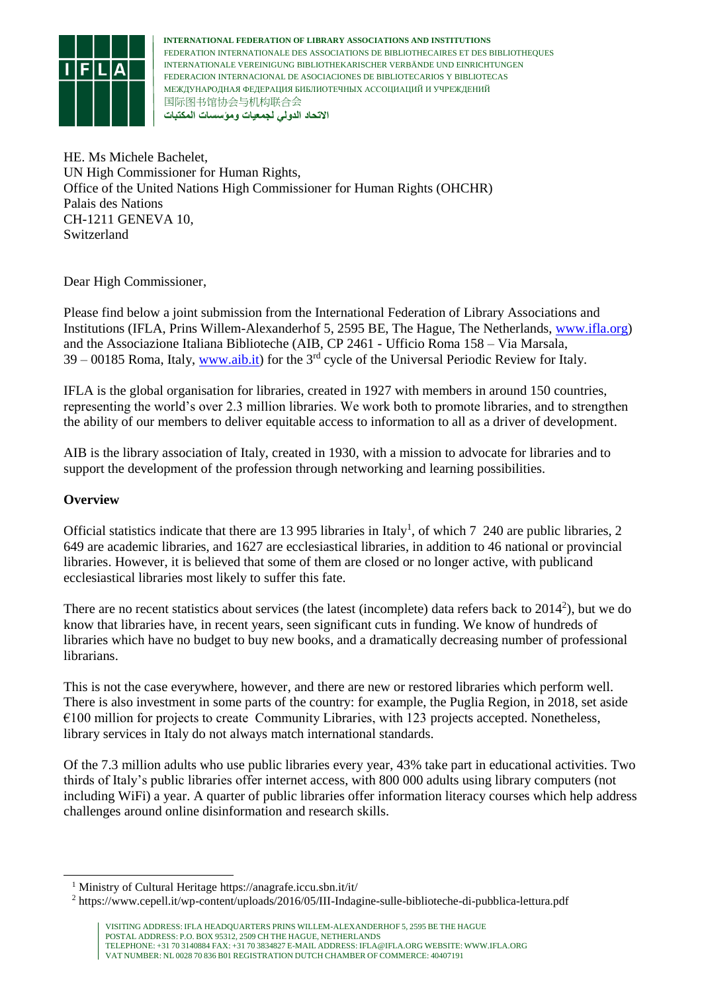

HE. Ms Michele Bachelet, UN High Commissioner for Human Rights, Office of the United Nations High Commissioner for Human Rights (OHCHR) Palais des Nations CH-1211 GENEVA 10, Switzerland

Dear High Commissioner,

Please find below a joint submission from the International Federation of Library Associations and Institutions (IFLA, Prins Willem-Alexanderhof 5, 2595 BE, The Hague, The Netherlands, [www.ifla.org\)](http://www.ifla.org/) and the Associazione Italiana Biblioteche (AIB, CP 2461 - Ufficio Roma 158 – Via Marsala,  $39 - 00185$  Roma, Italy, [www.aib.it\)](http://www.aib.it/) for the 3<sup>rd</sup> cycle of the Universal Periodic Review for Italy.

IFLA is the global organisation for libraries, created in 1927 with members in around 150 countries, representing the world's over 2.3 million libraries. We work both to promote libraries, and to strengthen the ability of our members to deliver equitable access to information to all as a driver of development.

AIB is the library association of Italy, created in 1930, with a mission to advocate for libraries and to support the development of the profession through networking and learning possibilities.

# **Overview**

1

Official statistics indicate that there are 13 995 libraries in Italy<sup>1</sup>, of which 7 240 are public libraries, 2 649 are academic libraries, and 1627 are ecclesiastical libraries, in addition to 46 national or provincial libraries. However, it is believed that some of them are closed or no longer active, with publicand ecclesiastical libraries most likely to suffer this fate.

There are no recent statistics about services (the latest (incomplete) data refers back to  $2014^2$ ), but we do know that libraries have, in recent years, seen significant cuts in funding. We know of hundreds of libraries which have no budget to buy new books, and a dramatically decreasing number of professional librarians.

This is not the case everywhere, however, and there are new or restored libraries which perform well. There is also investment in some parts of the country: for example, the Puglia Region, in 2018, set aside €100 million for projects to create Community Libraries, with 123 projects accepted. Nonetheless, library services in Italy do not always match international standards.

Of the 7.3 million adults who use public libraries every year, 43% take part in educational activities. Two thirds of Italy's public libraries offer internet access, with 800 000 adults using library computers (not including WiFi) a year. A quarter of public libraries offer information literacy courses which help address challenges around online disinformation and research skills.

<sup>1</sup> Ministry of Cultural Heritage https://anagrafe.iccu.sbn.it/it/

<sup>2</sup> https://www.cepell.it/wp-content/uploads/2016/05/III-Indagine-sulle-biblioteche-di-pubblica-lettura.pdf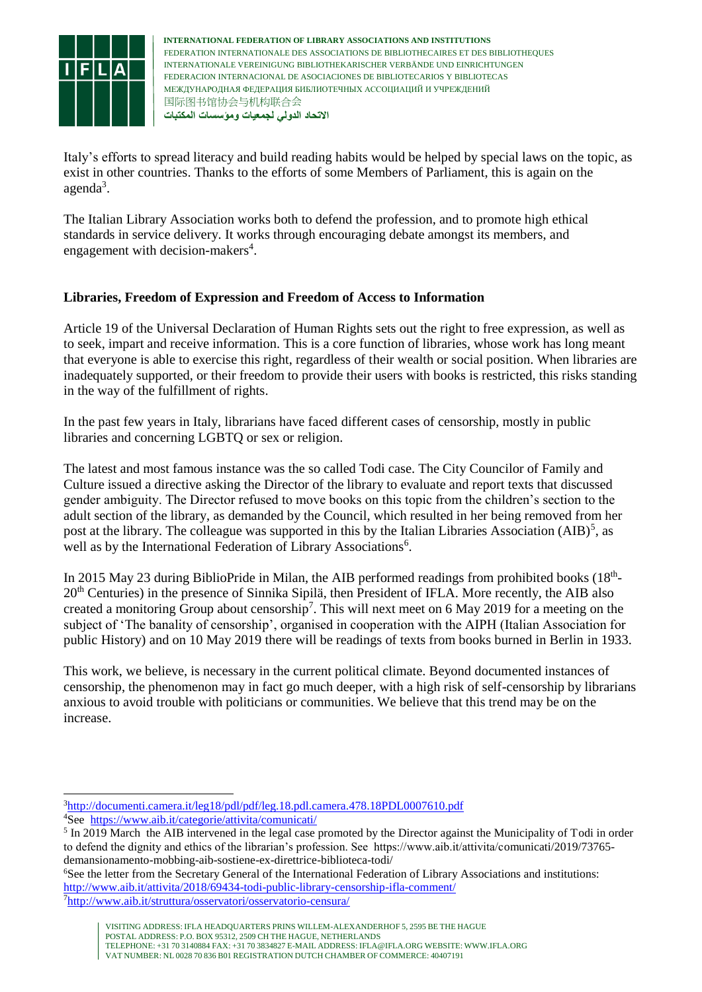

Italy's efforts to spread literacy and build reading habits would be helped by special laws on the topic, as exist in other countries. Thanks to the efforts of some Members of Parliament, this is again on the agenda<sup>3</sup>.

The Italian Library Association works both to defend the profession, and to promote high ethical standards in service delivery. It works through encouraging debate amongst its members, and engagement with decision-makers<sup>4</sup>.

## **Libraries, Freedom of Expression and Freedom of Access to Information**

Article 19 of the Universal Declaration of Human Rights sets out the right to free expression, as well as to seek, impart and receive information. This is a core function of libraries, whose work has long meant that everyone is able to exercise this right, regardless of their wealth or social position. When libraries are inadequately supported, or their freedom to provide their users with books is restricted, this risks standing in the way of the fulfillment of rights.

In the past few years in Italy, librarians have faced different cases of censorship, mostly in public libraries and concerning LGBTQ or sex or religion.

The latest and most famous instance was the so called Todi case. The City Councilor of Family and Culture issued a directive asking the Director of the library to evaluate and report texts that discussed gender ambiguity. The Director refused to move books on this topic from the children's section to the adult section of the library, as demanded by the Council, which resulted in her being removed from her post at the library. The colleague was supported in this by the Italian Libraries Association  $(AIB)^5$ , as well as by the International Federation of Library Associations<sup>6</sup>.

In 2015 May 23 during BiblioPride in Milan, the AIB performed readings from prohibited books (18<sup>th</sup>-20th Centuries) in the presence of Sinnika Sipilä, then President of IFLA. More recently, the AIB also created a monitoring Group about censorship<sup>7</sup>. This will next meet on 6 May 2019 for a meeting on the subject of 'The banality of censorship', organised in cooperation with the AIPH (Italian Association for public History) and on 10 May 2019 there will be readings of texts from books burned in Berlin in 1933.

This work, we believe, is necessary in the current political climate. Beyond documented instances of censorship, the phenomenon may in fact go much deeper, with a high risk of self-censorship by librarians anxious to avoid trouble with politicians or communities. We believe that this trend may be on the increase.

<sup>1</sup> <sup>3</sup><http://documenti.camera.it/leg18/pdl/pdf/leg.18.pdl.camera.478.18PDL0007610.pdf> <sup>4</sup>See<https://www.aib.it/categorie/attivita/comunicati/>

<sup>&</sup>lt;sup>5</sup> In 2019 March the AIB intervened in the legal case promoted by the Director against the Municipality of Todi in order to defend the dignity and ethics of the librarian's profession. See https://www.aib.it/attivita/comunicati/2019/73765 demansionamento-mobbing-aib-sostiene-ex-direttrice-biblioteca-todi/

<sup>6</sup>See the letter from the Secretary General of the International Federation of Library Associations and institutions: <http://www.aib.it/attivita/2018/69434-todi-public-library-censorship-ifla-comment/> 7<http://www.aib.it/struttura/osservatori/osservatorio-censura/>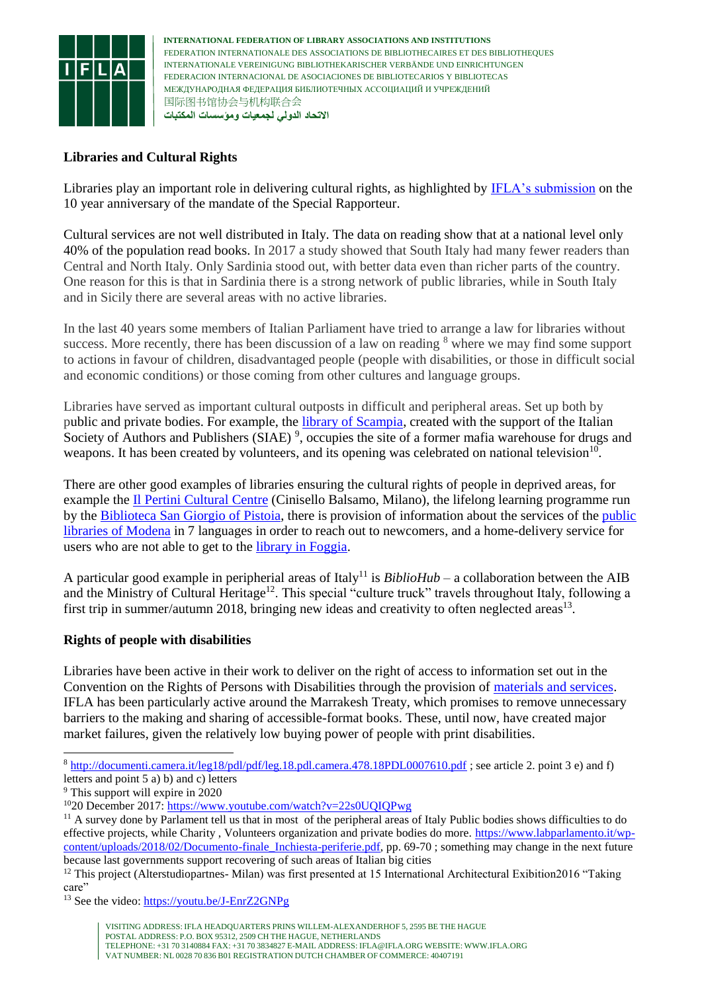

### **Libraries and Cultural Rights**

Libraries play an important role in delivering cultural rights, as highlighted by [IFLA's submission](https://www.ifla.org/node/91666) on the 10 year anniversary of the mandate of the Special Rapporteur.

Cultural services are not well distributed in Italy. The data on reading show that at a national level only 40% of the population read books. In 2017 a study showed that South Italy had many fewer readers than Central and North Italy. Only Sardinia stood out, with better data even than richer parts of the country. One reason for this is that in Sardinia there is a strong network of public libraries, while in South Italy and in Sicily there are several areas with no active libraries.

In the last 40 years some members of Italian Parliament have tried to arrange a law for libraries without success. More recently, there has been discussion of a law on reading <sup>8</sup> where we may find some support to actions in favour of children, disadvantaged people (people with disabilities, or those in difficult social and economic conditions) or those coming from other cultures and language groups.

Libraries have served as important cultural outposts in difficult and peripheral areas. Set up both by public and private bodies. For example, the [library of Scampia,](http://www.labibliotecadiscampia.com/) created with the support of the Italian Society of Authors and Publishers (SIAE)<sup>9</sup>, occupies the site of a former mafia warehouse for drugs and weapons. It has been created by volunteers, and its opening was celebrated on national television<sup>10</sup>.

There are other good examples of libraries ensuring the cultural rights of people in deprived areas, for example the [Il Pertini Cultural Centre](http://webopac.csbno.net/library/Cinisello-Il-Pertini/timetable) (Cinisello Balsamo, Milano), the lifelong learning programme run by the [Biblioteca San Giorgio of Pistoia,](https://www.sangiorgio.comune.pistoia.it/Imparare/#.XItqXflKjcs) there is provision of information about the services of th[e public](https://www.comune.modena.it/biblioteche/bibliotechecomunali/rotonda/biblioteche/benvenuti-in-biblioteca)  [libraries of Modena](https://www.comune.modena.it/biblioteche/bibliotechecomunali/rotonda/biblioteche/benvenuti-in-biblioteca) in 7 languages in order to reach out to newcomers, and a home-delivery service for users who are not able to get to the *library* in Foggia.

A particular good example in peripherial areas of Italy<sup>11</sup> is *BiblioHub* – a collaboration between the AIB and the Ministry of Cultural Heritage<sup>12</sup>. This special "culture truck" travels throughout Italy, following a first trip in summer/autumn 2018, bringing new ideas and creativity to often neglected areas<sup>13</sup>.

#### **Rights of people with disabilities**

Libraries have been active in their work to deliver on the right of access to information set out in the Convention on the Rights of Persons with Disabilities through the provision of [materials and services.](https://www.ifla.org/node/20029) IFLA has been particularly active around the Marrakesh Treaty, which promises to remove unnecessary barriers to the making and sharing of accessible-format books. These, until now, have created major market failures, given the relatively low buying power of people with print disabilities.

-

<sup>8</sup> <http://documenti.camera.it/leg18/pdl/pdf/leg.18.pdl.camera.478.18PDL0007610.pdf> ; see article 2. point 3 e) and f) letters and point 5 a) b) and c) letters

<sup>9</sup> This support will expire in 2020

<sup>10</sup>20 December 2017:<https://www.youtube.com/watch?v=22s0UQIQPwg>

<sup>&</sup>lt;sup>11</sup> A survey done by Parlament tell us that in most of the peripheral areas of Italy Public bodies shows difficulties to do effective projects, while Charity , Volunteers organization and private bodies do more. [https://www.labparlamento.it/wp](https://www.labparlamento.it/wp-content/uploads/2018/02/Documento-finale_Inchiesta-periferie.pdf)[content/uploads/2018/02/Documento-finale\\_Inchiesta-periferie.pdf,](https://www.labparlamento.it/wp-content/uploads/2018/02/Documento-finale_Inchiesta-periferie.pdf) pp. 69-70 ; something may change in the next future because last governments support recovering of such areas of Italian big cities

<sup>&</sup>lt;sup>12</sup> This project (Alterstudiopartnes- Milan) was first presented at 15 International Architectural Exibition2016 "Taking care"

<sup>&</sup>lt;sup>13</sup> See the video:<https://youtu.be/J-EnrZ2GNPg>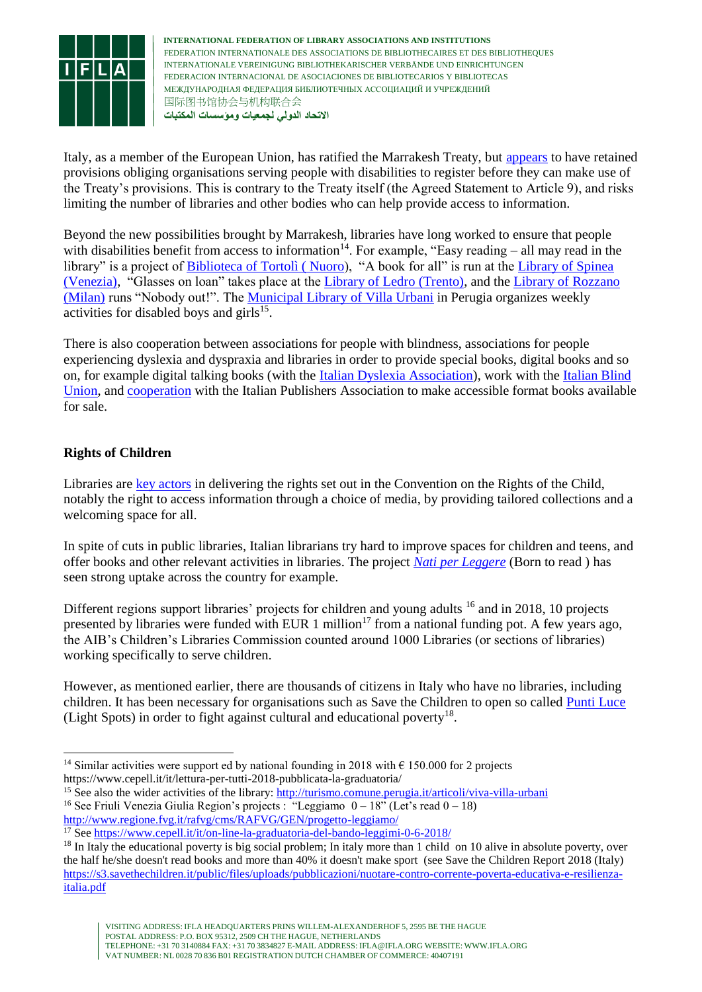

Italy, as a member of the European Union, has ratified the Marrakesh Treaty, but [appears](https://www.ifla.org/publications/node/81925) to have retained provisions obliging organisations serving people with disabilities to register before they can make use of the Treaty's provisions. This is contrary to the Treaty itself (the Agreed Statement to Article 9), and risks limiting the number of libraries and other bodies who can help provide access to information.

Beyond the new possibilities brought by Marrakesh, libraries have long worked to ensure that people with disabilities benefit from access to information<sup>14</sup>. For example, "Easy reading – all may read in the library" is a project of Biblioteca of Tortolì (Nuoro), "A book for all" is run at the Library of Spinea [\(Venezia\),](http://www.biblioteca-spinea.it/servizi/ipovedenti.htm) "Glasses on loan" takes place at the [Library of Ledro \(Trento\),](http://www.comune.ledro.tn.it/Aree-tematiche/Biblioteca/Servizi-erogati/Servizi-aggiuntivi) and the [Library of Rozzano](http://www.cascinagrande.it/pdf2019/A3%20Nessuno%20escluso.pdf)  [\(Milan\)](http://www.cascinagrande.it/pdf2019/A3%20Nessuno%20escluso.pdf) runs "Nobody out!". The [Municipal Library of Villa Urbani](http://www.comune.perugia.it/approfondimenti/sul-filo-delle-parole) in Perugia organizes weekly activities for disabled boys and girls $^{15}$ .

There is also cooperation between associations for people with blindness, associations for people experiencing dyslexia and dyspraxia and libraries in order to provide special books, digital books and so on, for example digital talking books (with the [Italian Dyslexia Association\)](https://www.aiditalia.org/it/news-ed-eventi/news/libro-digitale-parlante-adov), work with the [Italian Blind](https://www.uiciechi.it/homeInglese.asp)  [Union,](https://www.uiciechi.it/homeInglese.asp) and [cooperation](https://catalogo.fondazionelia.org/) with the Italian Publishers Association to make accessible format books available for sale.

# **Rights of Children**

-

Libraries are [key actors](https://blogs.ifla.org/lpa/2018/11/20/from-the-earliest-age-libraries-and-the-convention-on-the-rights-of-the-child/) in delivering the rights set out in the Convention on the Rights of the Child, notably the right to access information through a choice of media, by providing tailored collections and a welcoming space for all.

In spite of cuts in public libraries, Italian librarians try hard to improve spaces for children and teens, and offer books and other relevant activities in libraries. The project *[Nati per Leggere](http://www.natiperleggere.it/)* (Born to read ) has seen strong uptake across the country for example.

Different regions support libraries' projects for children and young adults <sup>16</sup> and in 2018, 10 projects presented by libraries were funded with EUR 1 million<sup>17</sup> from a national funding pot. A few years ago, the AIB's Children's Libraries Commission counted around 1000 Libraries (or sections of libraries) working specifically to serve children.

However, as mentioned earlier, there are thousands of citizens in Italy who have no libraries, including children. It has been necessary for organisations such as Save the Children to open so called [Punti Luce](https://www.savethechildren.it/cosa-facciamo/campagne/illuminiamo-il-futuro/punti-luce) (Light Spots) in order to fight against cultural and educational poverty<sup>18</sup>.

<sup>15</sup> See also the wider activities of the library[: http://turismo.comune.perugia.it/articoli/viva-villa-urbani](http://turismo.comune.perugia.it/articoli/viva-villa-urbani) <sup>16</sup> See Friuli Venezia Giulia Region's projects : "Leggiamo  $0 - 18$ " (Let's read  $0 - 18$ )

<http://www.regione.fvg.it/rafvg/cms/RAFVG/GEN/progetto-leggiamo/>

<sup>&</sup>lt;sup>14</sup> Similar activities were support ed by national founding in 2018 with  $\epsilon$  150.000 for 2 projects https://www.cepell.it/it/lettura-per-tutti-2018-pubblicata-la-graduatoria/

<sup>17</sup> See<https://www.cepell.it/it/on-line-la-graduatoria-del-bando-leggimi-0-6-2018/>

<sup>&</sup>lt;sup>18</sup> In Italy the educational poverty is big social problem; In italy more than 1 child on 10 alive in absolute poverty, over the half he/she doesn't read books and more than 40% it doesn't make sport (see Save the Children Report 2018 (Italy) [https://s3.savethechildren.it/public/files/uploads/pubblicazioni/nuotare-contro-corrente-poverta-educativa-e-resilienza](https://s3.savethechildren.it/public/files/uploads/pubblicazioni/nuotare-contro-corrente-poverta-educativa-e-resilienza-italia.pdf)[italia.pdf](https://s3.savethechildren.it/public/files/uploads/pubblicazioni/nuotare-contro-corrente-poverta-educativa-e-resilienza-italia.pdf)